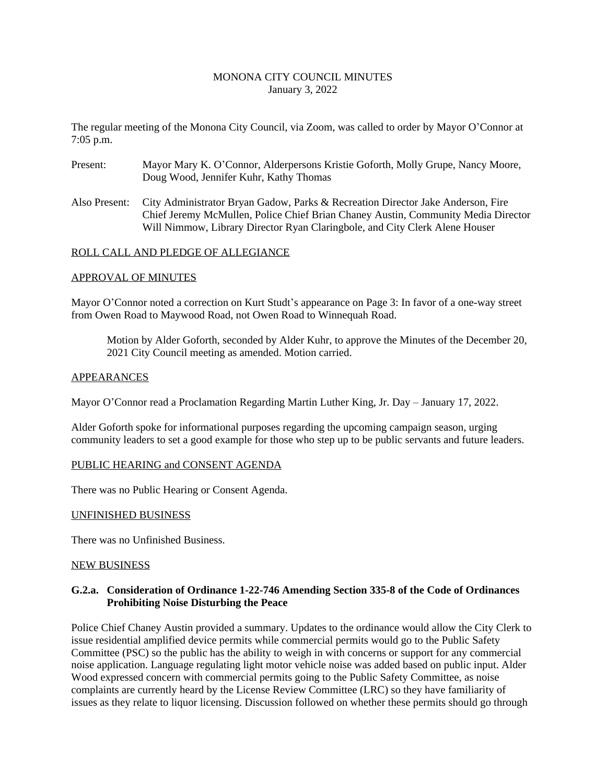### MONONA CITY COUNCIL MINUTES January 3, 2022

The regular meeting of the Monona City Council, via Zoom, was called to order by Mayor O'Connor at 7:05 p.m.

- Present: Mayor Mary K. O'Connor, Alderpersons Kristie Goforth, Molly Grupe, Nancy Moore, Doug Wood, Jennifer Kuhr, Kathy Thomas
- Also Present: City Administrator Bryan Gadow, Parks & Recreation Director Jake Anderson, Fire Chief Jeremy McMullen, Police Chief Brian Chaney Austin, Community Media Director Will Nimmow, Library Director Ryan Claringbole, and City Clerk Alene Houser

#### ROLL CALL AND PLEDGE OF ALLEGIANCE

#### APPROVAL OF MINUTES

Mayor O'Connor noted a correction on Kurt Studt's appearance on Page 3: In favor of a one-way street from Owen Road to Maywood Road, not Owen Road to Winnequah Road.

Motion by Alder Goforth, seconded by Alder Kuhr, to approve the Minutes of the December 20, 2021 City Council meeting as amended. Motion carried.

#### APPEARANCES

Mayor O'Connor read a Proclamation Regarding Martin Luther King, Jr. Day – January 17, 2022.

Alder Goforth spoke for informational purposes regarding the upcoming campaign season, urging community leaders to set a good example for those who step up to be public servants and future leaders.

### PUBLIC HEARING and CONSENT AGENDA

There was no Public Hearing or Consent Agenda.

#### UNFINISHED BUSINESS

There was no Unfinished Business.

#### NEW BUSINESS

### **G.2.a. Consideration of Ordinance 1-22-746 Amending Section 335-8 of the Code of Ordinances Prohibiting Noise Disturbing the Peace**

Police Chief Chaney Austin provided a summary. Updates to the ordinance would allow the City Clerk to issue residential amplified device permits while commercial permits would go to the Public Safety Committee (PSC) so the public has the ability to weigh in with concerns or support for any commercial noise application. Language regulating light motor vehicle noise was added based on public input. Alder Wood expressed concern with commercial permits going to the Public Safety Committee, as noise complaints are currently heard by the License Review Committee (LRC) so they have familiarity of issues as they relate to liquor licensing. Discussion followed on whether these permits should go through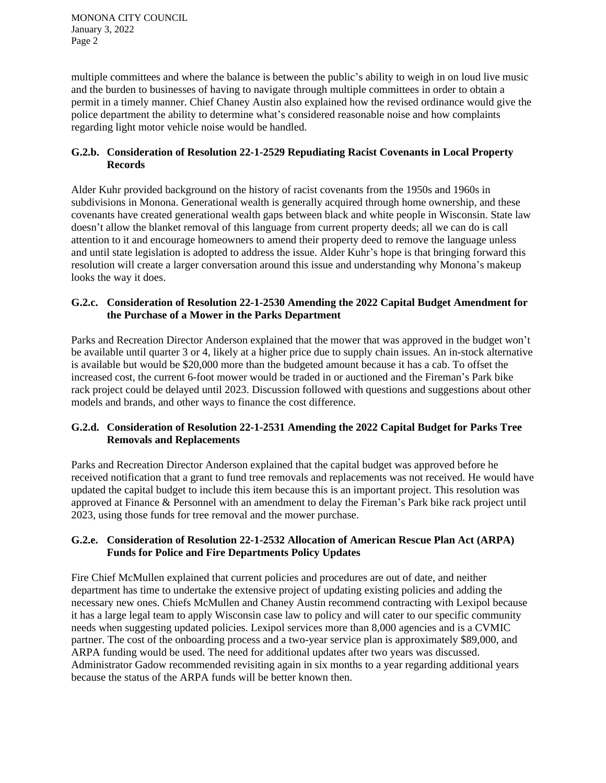MONONA CITY COUNCIL January 3, 2022 Page 2

multiple committees and where the balance is between the public's ability to weigh in on loud live music and the burden to businesses of having to navigate through multiple committees in order to obtain a permit in a timely manner. Chief Chaney Austin also explained how the revised ordinance would give the police department the ability to determine what's considered reasonable noise and how complaints regarding light motor vehicle noise would be handled.

## **G.2.b. Consideration of Resolution 22-1-2529 Repudiating Racist Covenants in Local Property Records**

Alder Kuhr provided background on the history of racist covenants from the 1950s and 1960s in subdivisions in Monona. Generational wealth is generally acquired through home ownership, and these covenants have created generational wealth gaps between black and white people in Wisconsin. State law doesn't allow the blanket removal of this language from current property deeds; all we can do is call attention to it and encourage homeowners to amend their property deed to remove the language unless and until state legislation is adopted to address the issue. Alder Kuhr's hope is that bringing forward this resolution will create a larger conversation around this issue and understanding why Monona's makeup looks the way it does.

## **G.2.c. Consideration of Resolution 22-1-2530 Amending the 2022 Capital Budget Amendment for the Purchase of a Mower in the Parks Department**

Parks and Recreation Director Anderson explained that the mower that was approved in the budget won't be available until quarter 3 or 4, likely at a higher price due to supply chain issues. An in-stock alternative is available but would be \$20,000 more than the budgeted amount because it has a cab. To offset the increased cost, the current 6-foot mower would be traded in or auctioned and the Fireman's Park bike rack project could be delayed until 2023. Discussion followed with questions and suggestions about other models and brands, and other ways to finance the cost difference.

## **G.2.d. Consideration of Resolution 22-1-2531 Amending the 2022 Capital Budget for Parks Tree Removals and Replacements**

Parks and Recreation Director Anderson explained that the capital budget was approved before he received notification that a grant to fund tree removals and replacements was not received. He would have updated the capital budget to include this item because this is an important project. This resolution was approved at Finance & Personnel with an amendment to delay the Fireman's Park bike rack project until 2023, using those funds for tree removal and the mower purchase.

## **G.2.e. Consideration of Resolution 22-1-2532 Allocation of American Rescue Plan Act (ARPA) Funds for Police and Fire Departments Policy Updates**

Fire Chief McMullen explained that current policies and procedures are out of date, and neither department has time to undertake the extensive project of updating existing policies and adding the necessary new ones. Chiefs McMullen and Chaney Austin recommend contracting with Lexipol because it has a large legal team to apply Wisconsin case law to policy and will cater to our specific community needs when suggesting updated policies. Lexipol services more than 8,000 agencies and is a CVMIC partner. The cost of the onboarding process and a two-year service plan is approximately \$89,000, and ARPA funding would be used. The need for additional updates after two years was discussed. Administrator Gadow recommended revisiting again in six months to a year regarding additional years because the status of the ARPA funds will be better known then.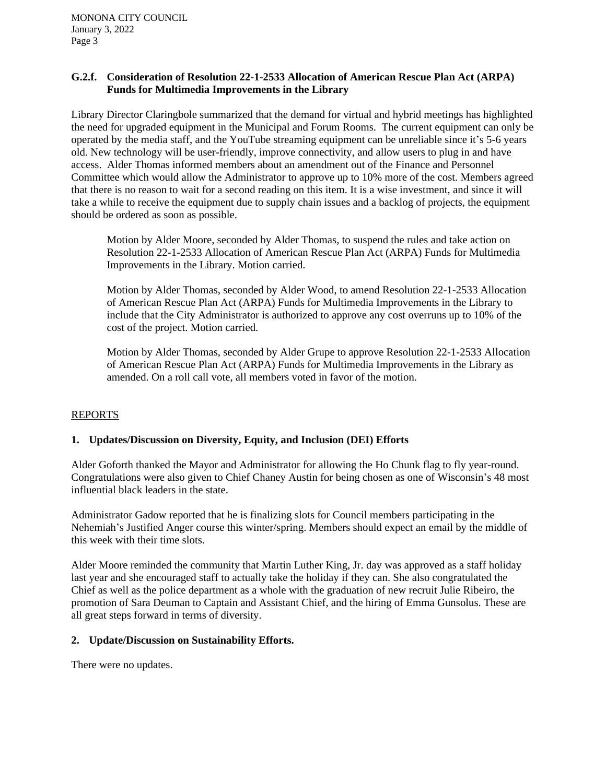### **G.2.f. Consideration of Resolution 22-1-2533 Allocation of American Rescue Plan Act (ARPA) Funds for Multimedia Improvements in the Library**

Library Director Claringbole summarized that the demand for virtual and hybrid meetings has highlighted the need for upgraded equipment in the Municipal and Forum Rooms. The current equipment can only be operated by the media staff, and the YouTube streaming equipment can be unreliable since it's 5-6 years old. New technology will be user-friendly, improve connectivity, and allow users to plug in and have access. Alder Thomas informed members about an amendment out of the Finance and Personnel Committee which would allow the Administrator to approve up to 10% more of the cost. Members agreed that there is no reason to wait for a second reading on this item. It is a wise investment, and since it will take a while to receive the equipment due to supply chain issues and a backlog of projects, the equipment should be ordered as soon as possible.

Motion by Alder Moore, seconded by Alder Thomas, to suspend the rules and take action on Resolution 22-1-2533 Allocation of American Rescue Plan Act (ARPA) Funds for Multimedia Improvements in the Library. Motion carried.

Motion by Alder Thomas, seconded by Alder Wood, to amend Resolution 22-1-2533 Allocation of American Rescue Plan Act (ARPA) Funds for Multimedia Improvements in the Library to include that the City Administrator is authorized to approve any cost overruns up to 10% of the cost of the project. Motion carried.

Motion by Alder Thomas, seconded by Alder Grupe to approve Resolution 22-1-2533 Allocation of American Rescue Plan Act (ARPA) Funds for Multimedia Improvements in the Library as amended. On a roll call vote, all members voted in favor of the motion.

## REPORTS

### **1. Updates/Discussion on Diversity, Equity, and Inclusion (DEI) Efforts**

Alder Goforth thanked the Mayor and Administrator for allowing the Ho Chunk flag to fly year-round. Congratulations were also given to Chief Chaney Austin for being chosen as one of Wisconsin's 48 most influential black leaders in the state.

Administrator Gadow reported that he is finalizing slots for Council members participating in the Nehemiah's Justified Anger course this winter/spring. Members should expect an email by the middle of this week with their time slots.

Alder Moore reminded the community that Martin Luther King, Jr. day was approved as a staff holiday last year and she encouraged staff to actually take the holiday if they can. She also congratulated the Chief as well as the police department as a whole with the graduation of new recruit Julie Ribeiro, the promotion of Sara Deuman to Captain and Assistant Chief, and the hiring of Emma Gunsolus. These are all great steps forward in terms of diversity.

### **2. Update/Discussion on Sustainability Efforts.**

There were no updates.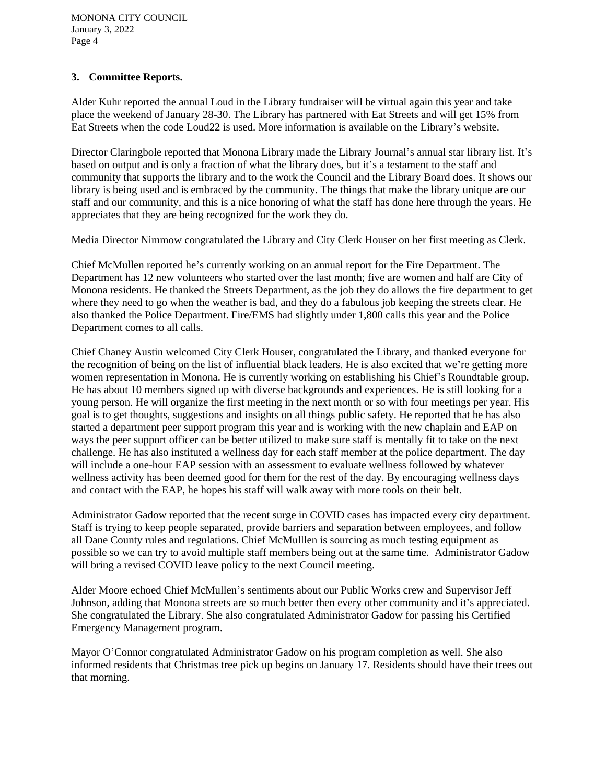## **3. Committee Reports.**

Alder Kuhr reported the annual Loud in the Library fundraiser will be virtual again this year and take place the weekend of January 28-30. The Library has partnered with Eat Streets and will get 15% from Eat Streets when the code Loud22 is used. More information is available on the Library's website.

Director Claringbole reported that Monona Library made the Library Journal's annual star library list. It's based on output and is only a fraction of what the library does, but it's a testament to the staff and community that supports the library and to the work the Council and the Library Board does. It shows our library is being used and is embraced by the community. The things that make the library unique are our staff and our community, and this is a nice honoring of what the staff has done here through the years. He appreciates that they are being recognized for the work they do.

Media Director Nimmow congratulated the Library and City Clerk Houser on her first meeting as Clerk.

Chief McMullen reported he's currently working on an annual report for the Fire Department. The Department has 12 new volunteers who started over the last month; five are women and half are City of Monona residents. He thanked the Streets Department, as the job they do allows the fire department to get where they need to go when the weather is bad, and they do a fabulous job keeping the streets clear. He also thanked the Police Department. Fire/EMS had slightly under 1,800 calls this year and the Police Department comes to all calls.

Chief Chaney Austin welcomed City Clerk Houser, congratulated the Library, and thanked everyone for the recognition of being on the list of influential black leaders. He is also excited that we're getting more women representation in Monona. He is currently working on establishing his Chief's Roundtable group. He has about 10 members signed up with diverse backgrounds and experiences. He is still looking for a young person. He will organize the first meeting in the next month or so with four meetings per year. His goal is to get thoughts, suggestions and insights on all things public safety. He reported that he has also started a department peer support program this year and is working with the new chaplain and EAP on ways the peer support officer can be better utilized to make sure staff is mentally fit to take on the next challenge. He has also instituted a wellness day for each staff member at the police department. The day will include a one-hour EAP session with an assessment to evaluate wellness followed by whatever wellness activity has been deemed good for them for the rest of the day. By encouraging wellness days and contact with the EAP, he hopes his staff will walk away with more tools on their belt.

Administrator Gadow reported that the recent surge in COVID cases has impacted every city department. Staff is trying to keep people separated, provide barriers and separation between employees, and follow all Dane County rules and regulations. Chief McMulllen is sourcing as much testing equipment as possible so we can try to avoid multiple staff members being out at the same time. Administrator Gadow will bring a revised COVID leave policy to the next Council meeting.

Alder Moore echoed Chief McMullen's sentiments about our Public Works crew and Supervisor Jeff Johnson, adding that Monona streets are so much better then every other community and it's appreciated. She congratulated the Library. She also congratulated Administrator Gadow for passing his Certified Emergency Management program.

Mayor O'Connor congratulated Administrator Gadow on his program completion as well. She also informed residents that Christmas tree pick up begins on January 17. Residents should have their trees out that morning.